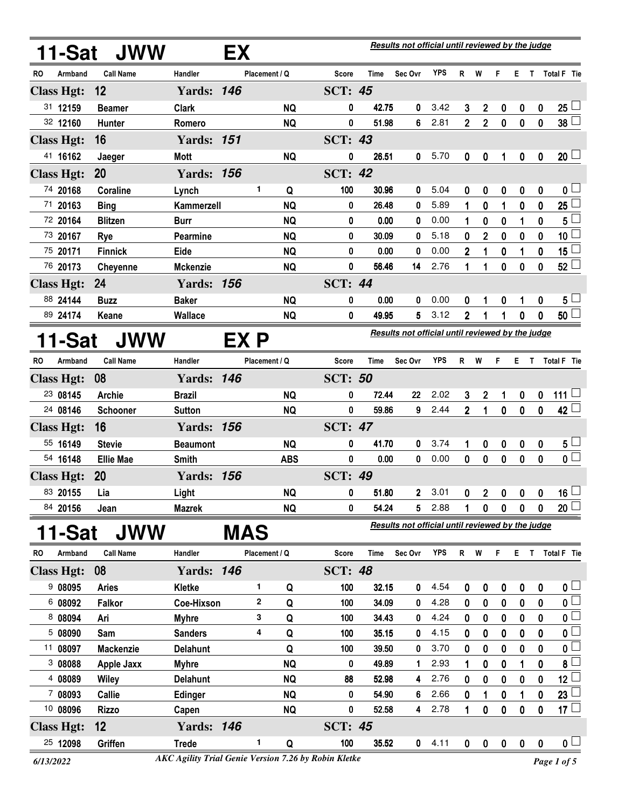|     | 11-Sat            | <b>JWW</b>        |                   | EX         |               |            |                |             | Results not official until reviewed by the judge |            |                |                |             |                   |             |                          |
|-----|-------------------|-------------------|-------------------|------------|---------------|------------|----------------|-------------|--------------------------------------------------|------------|----------------|----------------|-------------|-------------------|-------------|--------------------------|
| RO  | Armband           | <b>Call Name</b>  | Handler           |            | Placement / Q |            | Score          | Time        | Sec Ovr                                          | <b>YPS</b> | R              | W              | F           | ET.               |             | Total F Tie              |
|     | <b>Class Hgt:</b> | 12                | <b>Yards: 146</b> |            |               |            | <b>SCT: 45</b> |             |                                                  |            |                |                |             |                   |             |                          |
|     | 31 12159          | <b>Beamer</b>     | <b>Clark</b>      |            |               | <b>NQ</b>  | 0              | 42.75       | 0                                                | 3.42       | 3              | $\mathbf{2}$   | 0           | 0                 | 0           | 25 <sup>1</sup>          |
|     | 32 12160          | <b>Hunter</b>     | Romero            |            |               | <b>NQ</b>  | 0              | 51.98       | 6                                                | 2.81       | $\overline{2}$ | $\overline{2}$ | $\mathbf 0$ | $\bf{0}$          | $\bf{0}$    | $38\Box$                 |
|     | <b>Class Hgt:</b> | 16                | <b>Yards: 151</b> |            |               |            | <b>SCT: 43</b> |             |                                                  |            |                |                |             |                   |             |                          |
|     | 41 16162          | Jaeger            | <b>Mott</b>       |            |               | <b>NQ</b>  | 0              | 26.51       | 0                                                | 5.70       | 0              | 0              | 1           | $\bf{0}$          | 0           | $20\perp$                |
|     | <b>Class Hgt:</b> | 20                | <b>Yards: 156</b> |            |               |            | <b>SCT: 42</b> |             |                                                  |            |                |                |             |                   |             |                          |
|     | 74 20168          | Coraline          | Lynch             |            | 1             | Q          | 100            | 30.96       | 0                                                | 5.04       | 0              | 0              | 0           | 0                 | 0           | 0 <sub>l</sub>           |
|     | 71 20163          | <b>Bing</b>       | Kammerzell        |            |               | <b>NQ</b>  | 0              | 26.48       | 0                                                | 5.89       | 1              | 0              | 1           | $\mathbf 0$       | 0           | 25 <sup>1</sup>          |
|     | 72 20164          | <b>Blitzen</b>    | <b>Burr</b>       |            |               | <b>NQ</b>  | 0              | 0.00        | 0                                                | 0.00       | 1              | 0              | 0           |                   | 0           | $5\phantom{.0}$          |
|     | 73 20167          | <b>Rye</b>        | Pearmine          |            |               | <b>NQ</b>  | 0              | 30.09       | 0                                                | 5.18       | 0              | $\mathbf{2}$   | 0           | 0                 | 0           | 10 <sub>1</sub>          |
|     | 75 20171          | <b>Finnick</b>    | Eide              |            |               | <b>NQ</b>  | 0              | 0.00        | 0                                                | 0.00       | 2              | 1              | 0           | 1                 | 0           | $15\perp$                |
|     | 76 20173          | Cheyenne          | <b>Mckenzie</b>   |            |               | <b>NQ</b>  | 0              | 56.46       | 14                                               | 2.76       | 1              | 1              | 0           | $\mathbf 0$       | 0           | $52\perp$                |
|     | <b>Class Hgt:</b> | 24                | <b>Yards: 156</b> |            |               |            | <b>SCT: 44</b> |             |                                                  |            |                |                |             |                   |             |                          |
|     | 88 24144          | <b>Buzz</b>       | <b>Baker</b>      |            |               | <b>NQ</b>  | 0              | 0.00        | 0                                                | 0.00       | 0              | 1              | 0           | 1                 | 0           | 5 <sup>L</sup>           |
|     | 89 24174          | Keane             | Wallace           |            |               | <b>NQ</b>  | 0              | 49.95       | 5                                                | 3.12       | 2              | 1              | 1           | $\mathbf 0$       | 0           | 50 <sup>1</sup>          |
|     | 11-Sat            | <b>JWW</b>        |                   | EX P       |               |            |                |             | Results not official until reviewed by the judge |            |                |                |             |                   |             |                          |
| RO. | Armband           | <b>Call Name</b>  | Handler           |            | Placement / Q |            | Score          | <b>Time</b> | Sec Ovr                                          | <b>YPS</b> | R              | W              | F           | E T               |             | Total F Tie              |
|     | <b>Class Hgt:</b> | 08                | <b>Yards: 146</b> |            |               |            | <b>SCT: 50</b> |             |                                                  |            |                |                |             |                   |             |                          |
|     | 23 08145          | <b>Archie</b>     | <b>Brazil</b>     |            |               | <b>NQ</b>  | 0              | 72.44       | 22                                               | 2.02       | 3              | $\mathbf 2$    | 1           | $\boldsymbol{0}$  | 0           | 111 <sup>1</sup>         |
|     | 24 08146          | Schooner          | <b>Sutton</b>     |            |               | <b>NQ</b>  | 0              | 59.86       | 9                                                | 2.44       | $\overline{2}$ | 1              | $\mathbf 0$ | $\mathbf 0$       | $\mathbf 0$ | 42                       |
|     | <b>Class Hgt:</b> | 16                | <b>Yards: 156</b> |            |               |            | <b>SCT: 47</b> |             |                                                  |            |                |                |             |                   |             |                          |
|     | 55 16149          | <b>Stevie</b>     | <b>Beaumont</b>   |            |               | <b>NQ</b>  | 0              | 41.70       | 0                                                | 3.74       | 1              | 0              | 0           | 0                 | 0           | $5\perp$                 |
|     | 54 16148          | <b>Ellie Mae</b>  | <b>Smith</b>      |            |               | <b>ABS</b> | 0              | 0.00        | 0                                                | 0.00       | 0              | $\mathbf 0$    | $\pmb{0}$   | $\mathbf 0$       | 0           | $\overline{\mathbf{0}}$  |
|     | <b>Class Hgt:</b> | 20                | <b>Yards: 156</b> |            |               |            | <b>SCT: 49</b> |             |                                                  |            |                |                |             |                   |             |                          |
|     | 83 20155          | Lia               | Light             |            |               | <b>NQ</b>  | 0              | 51.80       | 2 <sup>1</sup>                                   | 3.01       | <sup>n</sup>   | 2 <sup>7</sup> |             | $0\quad 0\quad 0$ |             | 16                       |
|     | 84 20156          | Jean              | <b>Mazrek</b>     |            |               | <b>NQ</b>  | 0              | 54.24       | 5                                                | 2.88       | 1              | 0              | 0           | 0                 | 0           | 20                       |
|     |                   |                   |                   |            |               |            |                |             | Results not official until reviewed by the judge |            |                |                |             |                   |             |                          |
|     | 1-Sat             | <b>JWW</b>        |                   | <b>MAS</b> |               |            |                |             |                                                  |            |                |                |             |                   |             |                          |
| RO  | Armband           | <b>Call Name</b>  | Handler           |            | Placement / Q |            | Score          | Time        | Sec Ovr                                          | <b>YPS</b> | R <sub>a</sub> | W              | F.          |                   |             | E T Total F Tie          |
|     | <b>Class Hgt:</b> | 08                | <b>Yards: 146</b> |            |               |            | <b>SCT: 48</b> |             |                                                  |            |                |                |             |                   |             |                          |
|     | 908095            | <b>Aries</b>      | Kletke            |            | 1             | Q          | 100            | 32.15       | 0                                                | 4.54       | 0              | 0              | 0           | 0                 | 0           | 0 <sub>1</sub>           |
|     | 6 08092           | Falkor            | Coe-Hixson        |            | $\mathbf 2$   | Q          | 100            | 34.09       | 0                                                | 4.28       | 0              | 0              | 0           | 0                 | 0           | 0 <sub>1</sub>           |
|     | 8 08094           | Ari               | <b>Myhre</b>      |            | 3             | Q          | 100            | 34.43       | 0                                                | 4.24       | 0              | 0              | 0           | $\bf{0}$          | 0           | $\mathfrak{o} \sqsubset$ |
|     | 5 08090           | Sam               | <b>Sanders</b>    |            | 4             | Q          | 100            | 35.15       | 0                                                | 4.15       | 0              | 0              | 0           | 0                 | 0           | $\mathbf{0}$             |
|     | 11 08097          | <b>Mackenzie</b>  | <b>Delahunt</b>   |            |               | Q          | 100            | 39.50       | 0                                                | 3.70       | 0              | 0              | 0           | 0                 | 0           | $\mathfrak{o} \sqsubset$ |
|     | 3 08088           | <b>Apple Jaxx</b> | <b>Myhre</b>      |            |               | <b>NQ</b>  | 0              | 49.89       | 1                                                | 2.93       | 1              | 0              | 0           | 1                 | 0           | $\bf{8}$                 |
|     | 4 08089           | Wiley             | <b>Delahunt</b>   |            |               | <b>NQ</b>  | 88             | 52.98       | 4                                                | 2.76       | 0              | 0              | 0           | 0                 | 0           | $12\Box$                 |
|     | 7 08093           | Callie            | <b>Edinger</b>    |            |               | <b>NQ</b>  | 0              | 54.90       | 6                                                | 2.66       | 0              | 1              | 0           | 1                 | 0           | 23                       |
|     | 10 08096          | <b>Rizzo</b>      | Capen             |            |               | <b>NQ</b>  | $\pmb{0}$      | 52.58       | 4                                                | 2.78       | 1              | 0              | 0           | $\mathbf 0$       | 0           | 17 $\Box$                |
|     | <b>Class Hgt:</b> | 12                | <b>Yards: 146</b> |            |               |            | <b>SCT: 45</b> |             |                                                  |            |                |                |             |                   |             |                          |
|     | 25 12098          | Griffen           | <b>Trede</b>      |            | 1             | Q          | 100            | 35.52       | $\mathbf{0}$                                     | 4.11       | $\mathbf 0$    | $\pmb{0}$      | $\pmb{0}$   | $\mathbf 0$       | $\mathbf 0$ | $\mathfrak{o} \sqcup$    |

*<sup>6/13/2022</sup> Page 1 of 5 AKC Agility Trial Genie Version 7.26 by Robin Kletke*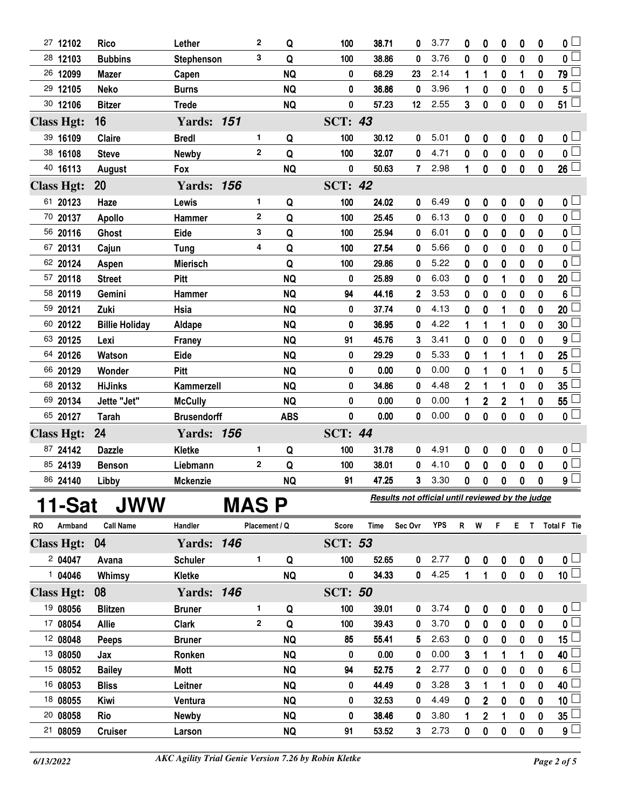| 27 12102          |         | <b>Rico</b>           | Lether             | 2             | Q          | 100            | 38.71 | 0                                                | 3.77       | 0  | 0              | 0              | 0                | 0           | 0                       |
|-------------------|---------|-----------------------|--------------------|---------------|------------|----------------|-------|--------------------------------------------------|------------|----|----------------|----------------|------------------|-------------|-------------------------|
| 28 12103          |         | <b>Bubbins</b>        | Stephenson         | 3             | Q          | 100            | 38.86 | 0                                                | 3.76       | 0  | 0              | 0              | $\bf{0}$         | 0           | 0                       |
| 26 12099          |         | <b>Mazer</b>          | Capen              |               | <b>NQ</b>  | 0              | 68.29 | 23                                               | 2.14       | 1  | 1              | 0              | 1                | $\mathbf 0$ | 79                      |
| 29 12105          |         | <b>Neko</b>           | <b>Burns</b>       |               | <b>NQ</b>  | 0              | 36.86 | 0                                                | 3.96       | 1  | 0              | 0              | $\bf{0}$         | 0           | 5                       |
| 30 12106          |         | <b>Bitzer</b>         | <b>Trede</b>       |               | <b>NQ</b>  | 0              | 57.23 | 12 <sup>°</sup>                                  | 2.55       | 3  | 0              | 0              | $\bf{0}$         | $\pmb{0}$   | $51^{\frac{1}{2}}$      |
| <b>Class Hgt:</b> |         | 16                    | <b>Yards: 151</b>  |               |            | <b>SCT: 43</b> |       |                                                  |            |    |                |                |                  |             |                         |
| 39 16109          |         | Claire                | <b>Bredl</b>       | 1             | Q          | 100            | 30.12 | 0                                                | 5.01       | 0  | 0              | 0              | 0                | 0           | 0 L                     |
| 38 16108          |         | <b>Steve</b>          | <b>Newby</b>       | $\mathbf{2}$  | Q          | 100            | 32.07 | 0                                                | 4.71       | 0  | 0              | 0              | $\bf{0}$         | $\mathbf 0$ | $\mathbf{0}$            |
| 40 16113          |         | August                | Fox                |               | <b>NQ</b>  | 0              | 50.63 | $\mathbf{7}$                                     | 2.98       | 1  | 0              | 0              | $\boldsymbol{0}$ | $\bf{0}$    | 26 <sup>1</sup>         |
| <b>Class Hgt:</b> |         | 20                    | <b>Yards: 156</b>  |               |            | <b>SCT: 42</b> |       |                                                  |            |    |                |                |                  |             |                         |
| 61 20123          |         | Haze                  | Lewis              | 1             | Q          | 100            | 24.02 | 0                                                | 6.49       | 0  | 0              | 0              | 0                | 0           | 0 <sub>1</sub>          |
| 70 20137          |         | <b>Apollo</b>         | Hammer             | $\mathbf{2}$  | Q          | 100            | 25.45 | 0                                                | 6.13       | 0  | 0              | 0              | 0                | $\mathbf 0$ | 0 L                     |
| 56 20116          |         | <b>Ghost</b>          | Eide               | 3             | Q          | 100            | 25.94 | 0                                                | 6.01       | 0  | 0              | 0              | 0                | $\mathbf 0$ | 0                       |
| 67 20131          |         | Cajun                 | <b>Tung</b>        | 4             | Q          | 100            | 27.54 | 0                                                | 5.66       | 0  | 0              | 0              | 0                | 0           | 0                       |
| 62 20124          |         | Aspen                 | <b>Mierisch</b>    |               | Q          | 100            | 29.86 | 0                                                | 5.22       | 0  | 0              | 0              | 0                | $\mathbf 0$ | 0                       |
| 57 20118          |         | <b>Street</b>         | <b>Pitt</b>        |               | <b>NQ</b>  | 0              | 25.89 | 0                                                | 6.03       | 0  | 0              | 1              | 0                | 0           | 20                      |
| 58 20119          |         | Gemini                | Hammer             |               | <b>NQ</b>  | 94             | 44.16 | $\mathbf{2}$                                     | 3.53       | 0  | 0              | 0              | 0                | $\mathbf 0$ | 6                       |
| 59 20121          |         | Zuki                  | Hsia               |               | <b>NQ</b>  | 0              | 37.74 | 0                                                | 4.13       | 0  | 0              | 1              | 0                | 0           | 20                      |
| 60 20122          |         | <b>Billie Holiday</b> | Aldape             |               | <b>NQ</b>  | 0              | 36.95 | 0                                                | 4.22       | 1  | 1              | 1              | 0                | $\mathbf 0$ | 30                      |
| 63 20125          |         | Lexi                  | Franey             |               | <b>NQ</b>  | 91             | 45.76 | 3                                                | 3.41       | 0  | 0              | 0              | 0                | 0           | 9                       |
| 64 20126          |         | Watson                | Eide               |               | <b>NQ</b>  | 0              | 29.29 | 0                                                | 5.33       | 0  | 1              | 1              | 1                | $\mathbf 0$ | 25                      |
| 66 20129          |         | Wonder                | <b>Pitt</b>        |               | <b>NQ</b>  | 0              | 0.00  | 0                                                | 0.00       | 0  | 1              | 0              | 1                | 0           | 5                       |
| 68 20132          |         | <b>HiJinks</b>        | Kammerzell         |               | <b>NQ</b>  | 0              | 34.86 | 0                                                | 4.48       | 2  | 1              | 1              | 0                | 0           | 35                      |
| 69 20134          |         | Jette "Jet"           | <b>McCully</b>     |               | <b>NQ</b>  | 0              | 0.00  | 0                                                | 0.00       | 1  | 2              | $\overline{2}$ | 1                | 0           | 55                      |
| 65 20127          |         | <b>Tarah</b>          | <b>Brusendorff</b> |               | <b>ABS</b> | 0              | 0.00  | 0                                                | 0.00       | 0  | 0              | 0              | $\bf{0}$         | $\mathbf 0$ | 0 <sup>1</sup>          |
| <b>Class Hgt:</b> |         | 24                    | <b>Yards: 156</b>  |               |            | <b>SCT: 44</b> |       |                                                  |            |    |                |                |                  |             |                         |
| 87 24142          |         | <b>Dazzle</b>         | Kletke             | 1             | Q          | 100            | 31.78 | 0                                                | 4.91       | 0  | 0              | 0              | $\boldsymbol{0}$ | 0           | $\mathbf{0}$ $\square$  |
| 85 24139          |         | <b>Benson</b>         | Liebmann           | $\mathbf{2}$  | Q          | 100            | 38.01 | 0                                                | 4.10       | 0  | 0              | 0              | 0                | $\mathbf 0$ | 0                       |
| 86 24140          |         | Libby                 | <b>Mckenzie</b>    |               | <b>NQ</b>  | 91             | 47.25 | 3                                                | 3.30       | 0  | 0              | 0              | 0                | 0           | 9                       |
|                   |         | <b>JWW</b>            |                    | <b>MAS P</b>  |            |                |       | Results not official until reviewed by the judge |            |    |                |                |                  |             |                         |
|                   | 11-Sat  |                       |                    |               |            |                |       |                                                  |            |    |                |                |                  |             |                         |
| RO                | Armband | <b>Call Name</b>      | Handler            | Placement / Q |            | <b>Score</b>   | Time  | Sec Ovr                                          | <b>YPS</b> | R. | W              | F              |                  |             | E T Total F Tie         |
| <b>Class Hgt:</b> |         | 04                    | <b>Yards: 146</b>  |               |            | <b>SCT: 53</b> |       |                                                  |            |    |                |                |                  |             |                         |
|                   | 204047  | Avana                 | <b>Schuler</b>     | 1             | Q          | 100            | 52.65 | 0                                                | 2.77       | 0  | 0              | 0              | $\boldsymbol{0}$ | 0           | $\mathbf{0}$ $\Box$     |
|                   | 104046  | Whimsy                | Kletke             |               | <b>NQ</b>  | 0              | 34.33 | 0                                                | 4.25       | 1  | 1              | 0              | 0                | $\mathbf 0$ | $\overline{10}$         |
| <b>Class Hgt:</b> |         | 08                    | <b>Yards: 146</b>  |               |            | <b>SCT: 50</b> |       |                                                  |            |    |                |                |                  |             |                         |
| 19 08056          |         | <b>Blitzen</b>        | <b>Bruner</b>      | 1             | Q          | 100            | 39.01 | 0                                                | 3.74       | 0  | 0              | 0              | $\boldsymbol{0}$ | 0           | 0 <sub>1</sub>          |
| 17 08054          |         | <b>Allie</b>          | Clark              | $\mathbf{2}$  | Q          | 100            | 39.43 | 0                                                | 3.70       | 0  | 0              | 0              | 0                | 0           | $\overline{\mathbf{0}}$ |
| 12 08048          |         | Peeps                 | <b>Bruner</b>      |               | <b>NQ</b>  | 85             | 55.41 | 5                                                | 2.63       | 0  | 0              | 0              | 0                | $\mathbf 0$ | 15 L                    |
| 13 08050          |         | Jax                   | Ronken             |               | <b>NQ</b>  | 0              | 0.00  | 0                                                | 0.00       | 3  | 1              | 1              | 1                | 0           | 40                      |
| 15 08052          |         | <b>Bailey</b>         | Mott               |               | <b>NQ</b>  | 94             | 52.75 | $\overline{2}$                                   | 2.77       | 0  | 0              | $\bf{0}$       | $\bf{0}$         | $\mathbf 0$ | 6                       |
| 16 08053          |         | <b>Bliss</b>          | Leitner            |               | <b>NQ</b>  | 0              | 44.49 | 0                                                | 3.28       | 3  | 1              | 1              | 0                | 0           | 40                      |
| 18 08055          |         | Kiwi                  | Ventura            |               | <b>NQ</b>  | 0              | 32.53 | 0                                                | 4.49       | 0  | $\mathbf 2$    | 0              | 0                | $\mathbf 0$ | 10 <sup>1</sup>         |
| 20 08058          |         | Rio                   | <b>Newby</b>       |               | <b>NQ</b>  | 0              | 38.46 | 0                                                | 3.80       | 1  | $\overline{2}$ | 1              | 0                | 0           | 35                      |
| 21 08059          |         | <b>Cruiser</b>        | Larson             |               | <b>NQ</b>  | 91             | 53.52 | 3                                                | 2.73       | 0  | 0              | 0              | 0                | 0           | $9+$                    |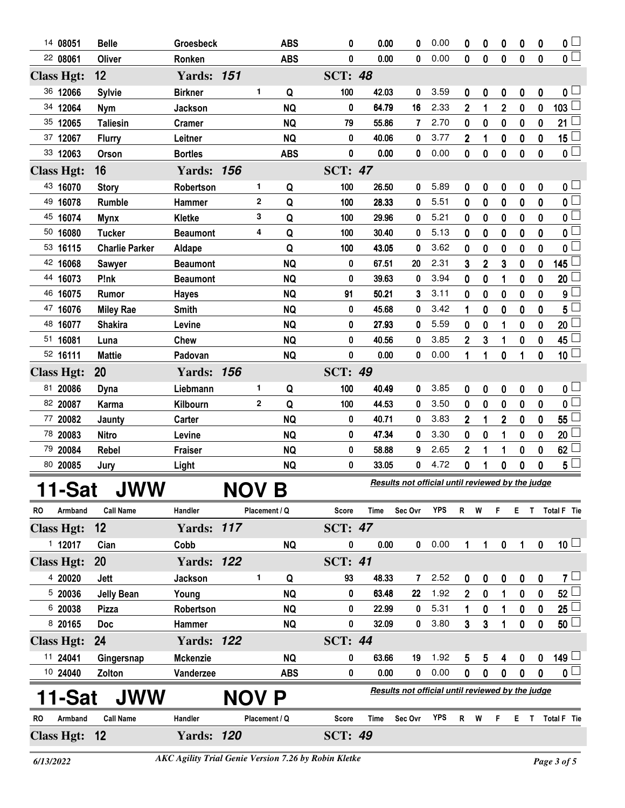| 14 08051          | <b>Belle</b>          | Groesbeck         |              |               | <b>ABS</b> | 0              | 0.00                                             | 0           | 0.00                                             | 0 | 0        | 0                       | 0           | 0                | $\mathbf{0}$ $\Box$     |
|-------------------|-----------------------|-------------------|--------------|---------------|------------|----------------|--------------------------------------------------|-------------|--------------------------------------------------|---|----------|-------------------------|-------------|------------------|-------------------------|
| 22 08061          | Oliver                | Ronken            |              |               | <b>ABS</b> | 0              | 0.00                                             | 0           | 0.00                                             | 0 | $\bf{0}$ | 0                       | $\bf{0}$    | 0                | $\overline{\mathbf{0}}$ |
| <b>Class Hgt:</b> | 12                    | <b>Yards: 151</b> |              |               |            | <b>SCT: 48</b> |                                                  |             |                                                  |   |          |                         |             |                  |                         |
| 36 12066          | <b>Sylvie</b>         | <b>Birkner</b>    |              | 1             | Q          | 100            | 42.03                                            | 0           | 3.59                                             | 0 | 0        | 0                       | 0           | $\boldsymbol{0}$ | 0 <sub>1</sub>          |
| 34 12064          | <b>Nym</b>            | Jackson           |              |               | <b>NQ</b>  | 0              | 64.79                                            | 16          | 2.33                                             | 2 | 1        | $\overline{\mathbf{c}}$ | $\bf{0}$    | 0                | 103                     |
| 35 12065          | <b>Taliesin</b>       | <b>Cramer</b>     |              |               | <b>NQ</b>  | 79             | 55.86                                            | 7           | 2.70                                             | 0 | 0        | $\bf{0}$                | $\bf{0}$    | 0                | 21                      |
| 37 12067          | <b>Flurry</b>         | Leitner           |              |               | <b>NQ</b>  | 0              | 40.06                                            | 0           | 3.77                                             | 2 | 1        | 0                       | $\bf{0}$    | 0                | 15                      |
| 33 12063          | <b>Orson</b>          | <b>Bortles</b>    |              |               | <b>ABS</b> | 0              | 0.00                                             | 0           | 0.00                                             | 0 | $\bf{0}$ | 0                       | $\bf{0}$    | $\mathbf 0$      | $0\perp$                |
| <b>Class Hgt:</b> | 16                    | <b>Yards: 156</b> |              |               |            | <b>SCT: 47</b> |                                                  |             |                                                  |   |          |                         |             |                  |                         |
| 43 16070          | <b>Story</b>          | Robertson         |              | 1             | Q          | 100            | 26.50                                            | 0           | 5.89                                             | 0 | 0        | 0                       | 0           | 0                | 0 L                     |
| 49 16078          | Rumble                | Hammer            |              | 2             | Q          | 100            | 28.33                                            | 0           | 5.51                                             | 0 | 0        | 0                       | 0           | 0                | 0 <sup>1</sup>          |
| 45 16074          | <b>Mynx</b>           | Kletke            |              | 3             | Q          | 100            | 29.96                                            | 0           | 5.21                                             | 0 | 0        | 0                       | 0           | 0                | $\mathbf 0$             |
| 50 16080          | <b>Tucker</b>         | <b>Beaumont</b>   |              | 4             | Q          | 100            | 30.40                                            | 0           | 5.13                                             | 0 | 0        | 0                       | 0           | 0                | 0                       |
| 53 16115          | <b>Charlie Parker</b> | Aldape            |              |               | Q          | 100            | 43.05                                            | 0           | 3.62                                             | 0 | 0        | 0                       | $\mathbf 0$ | 0                | 0                       |
| 42 16068          | <b>Sawyer</b>         | <b>Beaumont</b>   |              |               | <b>NQ</b>  | 0              | 67.51                                            | 20          | 2.31                                             | 3 | 2        | 3                       | 0           | 0                | 145                     |
| 44<br>16073       | P!nk                  | <b>Beaumont</b>   |              |               | <b>NQ</b>  | 0              | 39.63                                            | 0           | 3.94                                             | 0 | 0        | 1                       | 0           | 0                | 20                      |
| 46<br>16075       | Rumor                 | <b>Hayes</b>      |              |               | <b>NQ</b>  | 91             | 50.21                                            | 3           | 3.11                                             | 0 | 0        | 0                       | 0           | 0                | 9                       |
| 47<br>16076       | <b>Miley Rae</b>      | <b>Smith</b>      |              |               | <b>NQ</b>  | 0              | 45.68                                            | 0           | 3.42                                             | 1 | 0        | 0                       | 0           | 0                | 5                       |
| 48 16077          | <b>Shakira</b>        | Levine            |              |               | <b>NQ</b>  | 0              | 27.93                                            | 0           | 5.59                                             | 0 | 0        | 1                       | 0           | 0                | 20                      |
| 51 16081          | Luna                  | <b>Chew</b>       |              |               | <b>NQ</b>  | 0              | 40.56                                            | 0           | 3.85                                             | 2 | 3        | 1                       | 0           | 0                | 45                      |
| 52 16111          | <b>Mattie</b>         | Padovan           |              |               | <b>NQ</b>  | 0              | 0.00                                             | 0           | 0.00                                             | 1 | 1        | 0                       | 1           | 0                | 10 <sup>1</sup>         |
| <b>Class Hgt:</b> | 20                    | <b>Yards: 156</b> |              |               |            | <b>SCT: 49</b> |                                                  |             |                                                  |   |          |                         |             |                  |                         |
| 81 20086          | <b>Dyna</b>           | Liebmann          |              | 1             | Q          | 100            | 40.49                                            | 0           | 3.85                                             | 0 | 0        | 0                       | 0           | 0                | 0 ∟                     |
| 82 20087          | Karma                 | Kilbourn          |              | $\mathbf{2}$  | Q          | 100            | 44.53                                            | 0           | 3.50                                             | 0 | 0        | 0                       | 0           | $\pmb{0}$        | $\mathbf{0}$            |
| 77 20082          | Jaunty                | Carter            |              |               | <b>NQ</b>  | 0              | 40.71                                            | 0           | 3.83                                             | 2 | 1        | $\mathbf 2$             | 0           | 0                | 55                      |
| 78 20083          | <b>Nitro</b>          | Levine            |              |               | <b>NQ</b>  | 0              | 47.34                                            | 0           | 3.30                                             | 0 | 0        | 1                       | 0           | 0                | 20                      |
| 79 20084          | Rebel                 | <b>Fraiser</b>    |              |               | <b>NQ</b>  | 0              | 58.88                                            | 9           | 2.65                                             | 2 | 1        | 1                       | 0           | 0                | 62                      |
| 80 20085          | Jury                  | Light             |              |               | <b>NQ</b>  | 0              | 33.05                                            | 0           | 4.72                                             | 0 | 1        | 0                       | 0           | 0                | $5\phantom{.0}$         |
| 11-Sat            | <b>JWW</b>            |                   | <b>NOV B</b> |               |            |                |                                                  |             | Results not official until reviewed by the judge |   |          |                         |             |                  |                         |
|                   |                       |                   |              |               |            |                |                                                  |             |                                                  |   |          |                         |             |                  |                         |
| RO<br>Armband     | <b>Call Name</b>      | Handler           |              | Placement / Q |            | Score          | Time                                             | Sec Ovr     | <b>YPS</b>                                       | R | W        | F                       | Е           | T.               | Total F Tie             |
| <b>Class Hgt:</b> | 12                    | <b>Yards: 117</b> |              |               |            | <b>SCT: 47</b> |                                                  |             |                                                  |   |          |                         |             |                  |                         |
| 112017            | Cian                  | Cobb              |              |               | <b>NQ</b>  | 0              | 0.00                                             | $\mathbf 0$ | 0.00                                             | 1 | 1        | $\pmb{0}$               | 1           | $\mathbf 0$      | 10 <sup>1</sup>         |
| <b>Class Hgt:</b> | 20                    | <b>Yards: 122</b> |              |               |            | <b>SCT: 41</b> |                                                  |             |                                                  |   |          |                         |             |                  |                         |
| 4 20020           | Jett                  | Jackson           |              | 1             | Q          | 93             | 48.33                                            | 7           | 2.52                                             | 0 | 0        | 0                       | 0           | 0                | $7\sqcup$               |
| 520036            | <b>Jelly Bean</b>     | Young             |              |               | <b>NQ</b>  | 0              | 63.48                                            | 22          | 1.92                                             | 2 | 0        | 1                       | 0           | $\pmb{0}$        | 52                      |
| 6 20038           | Pizza                 | Robertson         |              |               | <b>NQ</b>  | 0              | 22.99                                            | 0           | 5.31                                             | 1 | 0        | 1                       | 0           | 0                | 25                      |
| 8 20165           | <b>Doc</b>            | Hammer            |              |               | <b>NQ</b>  | 0              | 32.09                                            | 0           | 3.80                                             | 3 | 3        | 1                       | 0           | 0                | 50 <sup>1</sup>         |
| <b>Class Hgt:</b> | 24                    | <b>Yards: 122</b> |              |               |            | <b>SCT: 44</b> |                                                  |             |                                                  |   |          |                         |             |                  |                         |
| 11 24041          | Gingersnap            | <b>Mckenzie</b>   |              |               | <b>NQ</b>  | 0              | 63.66                                            | 19          | 1.92                                             | 5 | 5        | 4                       | 0           | 0                | 149 L                   |
| 10 24040          | Zolton                | Vanderzee         |              |               | <b>ABS</b> | 0              | 0.00                                             | 0           | 0.00                                             | 0 | 0        | 0                       | 0           | 0                | 0 <sub>1</sub>          |
| 11-Sat            | JWW                   |                   | <b>NO</b>    |               | P          |                | Results not official until reviewed by the judge |             |                                                  |   |          |                         |             |                  |                         |
| RO<br>Armband     | <b>Call Name</b>      | Handler           |              | Placement / Q |            | <b>Score</b>   | Time                                             | Sec Ovr     | <b>YPS</b>                                       | R | W        | F                       | Е           | T                | Total F Tie             |
| Class Hgt: 12     |                       | <b>Yards: 120</b> |              |               |            | <b>SCT: 49</b> |                                                  |             |                                                  |   |          |                         |             |                  |                         |
|                   |                       |                   |              |               |            |                |                                                  |             |                                                  |   |          |                         |             |                  |                         |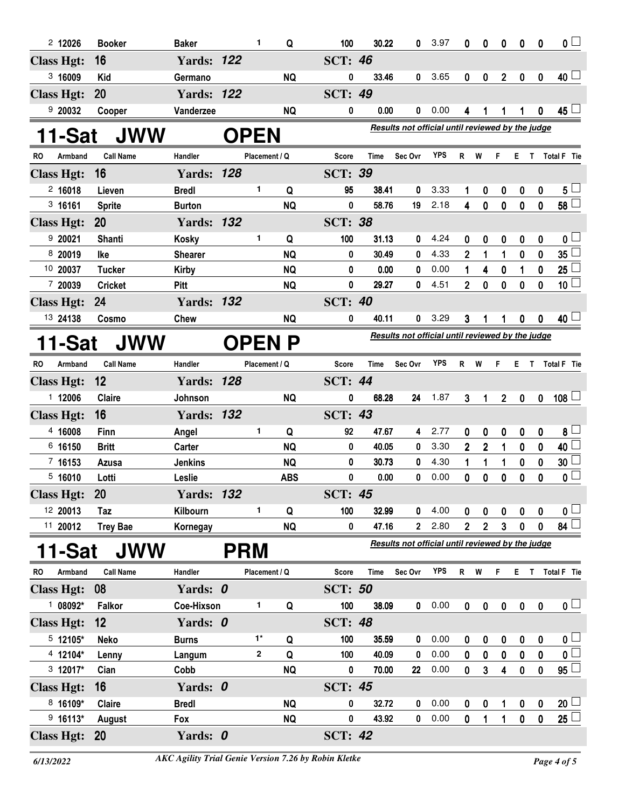| $2$ 12026            | <b>Booker</b>    | <b>Baker</b>      | 1             | Q             | 100            | 30.22 | 0                                                | 3.97       | 0              | 0                | 0                       | 0           | 0           | 0 <sub>1</sub>          |
|----------------------|------------------|-------------------|---------------|---------------|----------------|-------|--------------------------------------------------|------------|----------------|------------------|-------------------------|-------------|-------------|-------------------------|
| <b>Class Hgt:</b>    | 16               | <b>Yards: 122</b> |               |               | <b>SCT: 46</b> |       |                                                  |            |                |                  |                         |             |             |                         |
| 3,16009              | <b>Kid</b>       | Germano           |               | <b>NQ</b>     | 0              | 33.46 | 0                                                | 3.65       | 0              | 0                | $\overline{2}$          | 0           | $\mathbf 0$ | $40\perp$               |
| <b>Class Hgt:</b>    | <b>20</b>        | <b>Yards: 122</b> |               |               | <b>SCT: 49</b> |       |                                                  |            |                |                  |                         |             |             |                         |
| 920032               | Cooper           | Vanderzee         |               | <b>NQ</b>     | 0              | 0.00  | 0                                                | 0.00       | 4              | 1                | 1                       | 1           | $\mathbf 0$ | 45 $\lfloor$            |
| 11-Sat               | <b>JWW</b>       |                   | <b>OPEN</b>   |               |                |       | Results not official until reviewed by the judge |            |                |                  |                         |             |             |                         |
| Armband<br>RO.       | <b>Call Name</b> | Handler           | Placement / Q |               | Score          | Time  | Sec Ovr                                          | <b>YPS</b> | R W            |                  | F.                      |             |             | E T Total F Tie         |
| <b>Class Hgt:</b>    | 16               | <b>Yards: 128</b> |               |               | <b>SCT: 39</b> |       |                                                  |            |                |                  |                         |             |             |                         |
| 2,16018              | Lieven           | <b>Bredl</b>      | 1.            | Q             | 95             | 38.41 | 0                                                | 3.33       | 1              | 0                | 0                       | 0           | 0           | $5\perp$                |
| 3 16161              | <b>Sprite</b>    | <b>Burton</b>     |               | <b>NQ</b>     | 0              | 58.76 | 19                                               | 2.18       | 4              | $\mathbf 0$      | $\mathbf 0$             | $\mathbf 0$ | 0           | 58 <sup>°</sup>         |
| <b>Class Hgt:</b>    | <b>20</b>        | <b>Yards: 132</b> |               |               | <b>SCT: 38</b> |       |                                                  |            |                |                  |                         |             |             |                         |
| 9 20021              | <b>Shanti</b>    | <b>Kosky</b>      | 1             | Q             | 100            | 31.13 | 0                                                | 4.24       | 0              | 0                | 0                       | 0           | 0           | 0 L                     |
| 8 20019              | lke              | <b>Shearer</b>    |               | <b>NQ</b>     | 0              | 30.49 | 0                                                | 4.33       | $\overline{2}$ | 1                | 1                       | $\mathbf 0$ | 0           | 35 <sub>5</sub>         |
| 10 20037             | <b>Tucker</b>    | <b>Kirby</b>      |               | <b>NQ</b>     | 0              | 0.00  | 0                                                | 0.00       | 1              | 4                | 0                       | 1           | 0           | 25                      |
| 7 20039              | <b>Cricket</b>   | Pitt              |               | <b>NQ</b>     | 0              | 29.27 | 0                                                | 4.51       | $\overline{2}$ | 0                | 0                       | $\mathbf 0$ | 0           | 10 <sup>1</sup>         |
| <b>Class Hgt:</b>    | 24               | <b>Yards: 132</b> |               |               | <b>SCT: 40</b> |       |                                                  |            |                |                  |                         |             |             |                         |
| 13 24138             | Cosmo            | <b>Chew</b>       |               | <b>NQ</b>     | 0              | 40.11 | 0                                                | 3.29       | 3              | 1                |                         | 0           | 0           | 40 <sup>1</sup>         |
| 11-Sat               | <b>JWW</b>       |                   |               | <b>OPEN P</b> |                |       | Results not official until reviewed by the judge |            |                |                  |                         |             |             |                         |
| <b>RO</b><br>Armband | <b>Call Name</b> | Handler           | Placement / Q |               | <b>Score</b>   | Time  | Sec Ovr                                          | YPS        | R W            |                  | F.                      |             |             | E T Total F Tie         |
| <b>Class Hgt:</b>    | 12               | <b>Yards: 128</b> |               |               | <b>SCT: 44</b> |       |                                                  |            |                |                  |                         |             |             |                         |
| 1 12006              | <b>Claire</b>    | Johnson           |               | <b>NQ</b>     | 0              | 68.28 | 24                                               | 1.87       | 3              | 1                | $\overline{2}$          | 0           | 0           | $108$ $-$               |
| <b>Class Hgt:</b>    | 16               | <b>Yards: 132</b> |               |               | <b>SCT: 43</b> |       |                                                  |            |                |                  |                         |             |             |                         |
| 4 16008              | Finn             | Angel             | 1             | Q             | 92             | 47.67 | 4                                                | 2.77       | 0              | 0                | 0                       | 0           | 0           | $8\perp$                |
| 6 16150              | <b>Britt</b>     | Carter            |               | <b>NQ</b>     | 0              | 40.05 | 0                                                | 3.30       | $\mathbf{2}$   | $\boldsymbol{2}$ | 1                       | 0           | 0           | 40 L                    |
| 7 16153              | Azusa            | <b>Jenkins</b>    |               | <b>NQ</b>     | 0              | 30.73 | 0                                                | 4.30       | 1              | 1                | 1                       | 0           | 0           | 30                      |
| 5,16010              | Lotti            | Leslie            |               | <b>ABS</b>    | 0              | 0.00  | 0                                                | 0.00       | 0              | 0                | 0                       | 0           | 0           | 0 <sub>1</sub>          |
| <b>Class Hgt:</b>    | 20               | <b>Yards: 132</b> |               |               | <b>SCT: 45</b> |       |                                                  |            |                |                  |                         |             |             |                         |
| 12 20013             | Taz              | Kilbourn          | 1.            | Q             | 100            | 32.99 | 0                                                | 4.00       | 0              | 0                | 0                       | 0           | 0           | 0 <sub>1</sub>          |
| 11 20012             | <b>Trey Bae</b>  | Kornegay          |               | <b>NQ</b>     | 0              | 47.16 | $\mathbf{2}$                                     | 2.80       | $\mathbf{2}$   | $\mathbf{2}$     | 3                       | 0           | 0           | 84                      |
| 11-Sat               | <b>JWW</b>       |                   | <b>PRM</b>    |               |                |       | Results not official until reviewed by the judge |            |                |                  |                         |             |             |                         |
| Armband<br>RO        | <b>Call Name</b> | Handler           | Placement / Q |               | Score          | Time  | Sec Ovr                                          | <b>YPS</b> | R W            |                  | F.                      | E T         |             | Total F Tie             |
| <b>Class Hgt:</b>    | 08               | Yards: 0          |               |               | <b>SCT: 50</b> |       |                                                  |            |                |                  |                         |             |             |                         |
| $108092*$            | Falkor           | Coe-Hixson        | 1.            | Q             | 100            | 38.09 | 0                                                | 0.00       | 0              | $\pmb{0}$        | $\pmb{0}$               | $\pmb{0}$   | $\pmb{0}$   | $\mathbf{0}$ $\Box$     |
| <b>Class Hgt:</b>    | 12               | Yards: 0          |               |               | <b>SCT: 48</b> |       |                                                  |            |                |                  |                         |             |             |                         |
| $5$ 12105*           | Neko             | <b>Burns</b>      | $1^*$         | Q             | 100            | 35.59 | 0                                                | 0.00       | 0              | 0                | 0                       | 0           | 0           | 0 <sub>0</sub>          |
| 4 12104*             | Lenny            | Langum            | 2             | Q             | 100            | 40.09 | 0                                                | 0.00       | 0              | 0                | 0                       | 0           | 0           | $\overline{\mathbf{0}}$ |
| 3 12017*             | Cian             | Cobb              |               | <b>NQ</b>     | 0              | 70.00 | $22\,$                                           | 0.00       | 0              | 3                | $\overline{\mathbf{4}}$ | $\bf{0}$    | $\mathbf 0$ | $95 -$                  |
| <b>Class Hgt:</b>    | 16               | Yards: 0          |               |               | <b>SCT: 45</b> |       |                                                  |            |                |                  |                         |             |             |                         |
| 8 16109*             | <b>Claire</b>    | <b>Bredl</b>      |               | <b>NQ</b>     | 0              | 32.72 | 0                                                | 0.00       | 0              | 0                | 1                       | 0           | 0           | $20$ $\Box$             |
| $9$ 16113*           | August           | Fox               |               | <b>NQ</b>     | 0              | 43.92 | 0                                                | 0.00       | 0              | 1                | 1                       | $\mathbf 0$ | $\mathbf 0$ | $25\perp$               |
| <b>Class Hgt:</b>    | <b>20</b>        | Yards: 0          |               |               | <b>SCT: 42</b> |       |                                                  |            |                |                  |                         |             |             |                         |